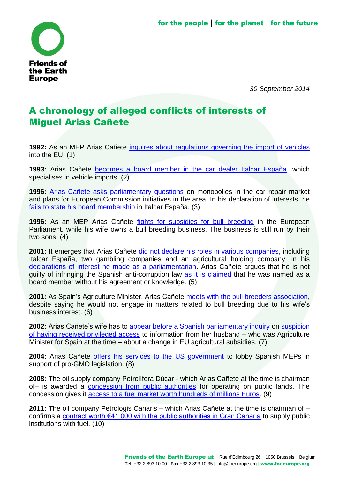

*30 September 2014*

## A chronology of alleged conflicts of interests of Miguel Arias Cañete

**1992:** As an MEP Arias Cañete [inquires about regulations governing the import of vehicles](http://elpais.com/diario/2001/02/09/espana/981673218_850215.html) into the EU. (1)

**1993:** Arias Cañete [becomes a board member in the car dealer Italcar España,](http://www.losgenoveses.net/Personajes%20Populares/canete/especialinterviu.htm) which specialises in vehicle imports. (2)

**1996:** [Arias Cañete asks parliamentary questions](http://elpais.com/diario/2001/02/09/espana/981673218_850215.html) on monopolies in the car repair market and plans for European Commission initiatives in the area. In his declaration of interests, he [fails to state his board membership](http://elpais.com/diario/2001/02/09/espana/981673218_850215.html) in Italcar España. (3)

**1996:** As an MEP Arias Cañete [fights for subsidies for bull breeding](http://elpais.com/diario/2001/02/09/espana/981673221_850215.html) in the European Parliament, while his wife owns a bull breeding business. The business is still run by their two sons. (4)

**2001:** It emerges that Arias Cañete [did not declare his roles in various companies,](http://www.elmundo.es/elmundo/2001/02/05/espana/981364278.html) including Italcar España, two gambling companies and an agricultural holding company, in his [declarations of interest he made as a parliamentarian.](http://elpais.com/diario/2001/02/05/espana/981327619_850215.html) Arias Cañete argues that he is not guilty of infringing the Spanish anti-corruption law [as it is claimed](http://www.abc.es/hemeroteca/historico-17-02-2001/abc/Nacional/el-informe-de-la-inspeccion-concluye-que-ca%C3%83%C2%B1ete-no-cometio-irregularidades_13000.html) that he was named as a board member without his agreement or knowledge. (5)

**2001:** As Spain's Agriculture Minister, Arias Cañete [meets with the bull breeders association,](http://www.elmundo.es/elmundo/2001/02/06/sociedad/981467542.html) despite saying he would not engage in matters related to bull breeding due to his wife's business interest. (6)

**2002:** Arias Cañete's wife has to [appear before a Spanish parliamentary inquiry](http://www.elperiodicoextremadura.com/noticias/anuario/mujer-canete-declara-comision-pac_30210.html) on [suspicion](http://cincodias.com/cincodias/2002/01/08/economia/1010472985_850215.html)  [of having received privileged access](http://cincodias.com/cincodias/2002/01/08/economia/1010472985_850215.html) to information from her husband – who was Agriculture Minister for Spain at the time – about a change in EU agricultural subsidies. (7)

**2004:** Arias Cañete [offers his services to the US government](http://wikileaks.org/cable/2004/12/04MADRID4777.html) to lobby Spanish MEPs in support of pro-GMO legislation. (8)

**2008:** The oil supply company Petrolífera Dúcar - which Arias Cañete at the time is chairman of– is awarded a [concession from public authorities](http://www.boe.es/boe/dias/2008/05/27/pdfs/B06860-06860.pdf) for operating on public lands. The concession gives it [access to a fuel market worth hundreds of millions Euros.](http://www.20minutos.es/noticia/1826721/0/canete-pp-faes/cepsa-ducar-biocarburtantes-estrecho/ceuta-planta-biodiesel/) (9)

**2011:** The oil company Petrologis Canaris – which Arias Cañete at the time is chairman of – confirms a [contract worth €41 000 with the public authorities in Gran Canaria](http://www.elplural.com/2014/04/29/arias-canete-mintio-en-el-congreso-al-menos-dos-veces-sus-empresas-tambien-tenian-contratos-con-la-administracion-en-canarias/) to supply public institutions with fuel. (10)